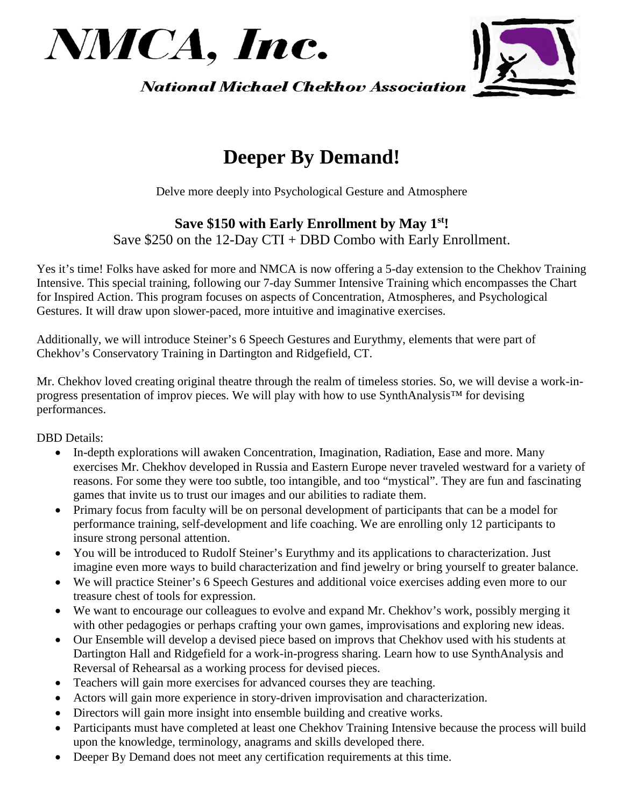



**National Michael Chekhov Association** 

## **Deeper By Demand!**

Delve more deeply into Psychological Gesture and Atmosphere

## **Save \$150 with Early Enrollment by May 1st!** Save \$250 on the 12-Day CTI + DBD Combo with Early Enrollment.

Yes it's time! Folks have asked for more and NMCA is now offering a 5-day extension to the Chekhov Training Intensive. This special training, following our 7-day Summer Intensive Training which encompasses the Chart for Inspired Action. This program focuses on aspects of Concentration, Atmospheres, and Psychological Gestures. It will draw upon slower-paced, more intuitive and imaginative exercises.

Additionally, we will introduce Steiner's 6 Speech Gestures and Eurythmy, elements that were part of Chekhov's Conservatory Training in Dartington and Ridgefield, CT.

Mr. Chekhov loved creating original theatre through the realm of timeless stories. So, we will devise a work-inprogress presentation of improv pieces. We will play with how to use SynthAnalysis™ for devising performances.

DBD Details:

- In-depth explorations will awaken Concentration, Imagination, Radiation, Ease and more. Many exercises Mr. Chekhov developed in Russia and Eastern Europe never traveled westward for a variety of reasons. For some they were too subtle, too intangible, and too "mystical". They are fun and fascinating games that invite us to trust our images and our abilities to radiate them.
- Primary focus from faculty will be on personal development of participants that can be a model for performance training, self-development and life coaching. We are enrolling only 12 participants to insure strong personal attention.
- You will be introduced to Rudolf Steiner's Eurythmy and its applications to characterization. Just imagine even more ways to build characterization and find jewelry or bring yourself to greater balance.
- We will practice Steiner's 6 Speech Gestures and additional voice exercises adding even more to our treasure chest of tools for expression.
- We want to encourage our colleagues to evolve and expand Mr. Chekhov's work, possibly merging it with other pedagogies or perhaps crafting your own games, improvisations and exploring new ideas.
- Our Ensemble will develop a devised piece based on improvs that Chekhov used with his students at Dartington Hall and Ridgefield for a work-in-progress sharing. Learn how to use SynthAnalysis and Reversal of Rehearsal as a working process for devised pieces.
- Teachers will gain more exercises for advanced courses they are teaching.
- Actors will gain more experience in story-driven improvisation and characterization.
- Directors will gain more insight into ensemble building and creative works.
- Participants must have completed at least one Chekhov Training Intensive because the process will build upon the knowledge, terminology, anagrams and skills developed there.
- Deeper By Demand does not meet any certification requirements at this time.